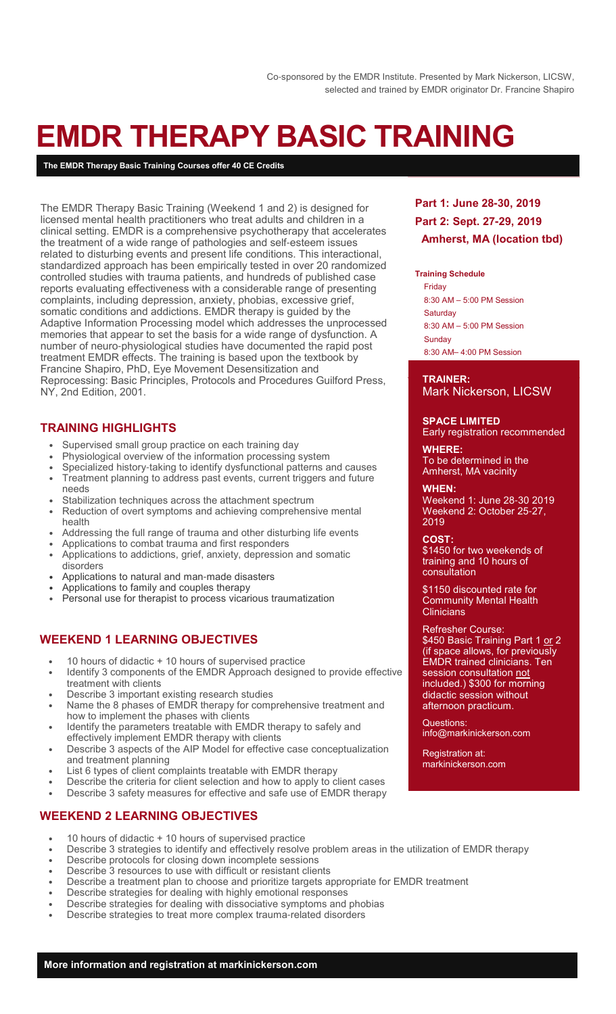# **EMDR THERAPY BASIC TRAINING**

**The EMDR Therapy Basic Training Courses offer 40 CE Credits**

The EMDR Therapy Basic Training (Weekend 1 and 2) is designed for licensed mental health practitioners who treat adults and children in a clinical setting. EMDR is a comprehensive psychotherapy that accelerates the treatment of a wide range of pathologies and self-esteem issues related to disturbing events and present life conditions. This interactional, standardized approach has been empirically tested in over 20 randomized controlled studies with trauma patients, and hundreds of published case reports evaluating effectiveness with a considerable range of presenting complaints, including depression, anxiety, phobias, excessive grief, somatic conditions and addictions. EMDR therapy is guided by the Adaptive Information Processing model which addresses the unprocessed memories that appear to set the basis for a wide range of dysfunction. A number of neuro-physiological studies have documented the rapid post treatment EMDR effects. The training is based upon the textbook by Francine Shapiro, PhD, Eye Movement Desensitization and Reprocessing: Basic Principles, Protocols and Procedures Guilford Press, NY, 2nd Edition, 2001.

# **TRAINING HIGHLIGHTS**

- Supervised small group practice on each training day
- Physiological overview of the information processing system
- Specialized history-taking to identify dysfunctional patterns and causes • Treatment planning to address past events, current triggers and future needs
- Stabilization techniques across the attachment spectrum
- Reduction of overt symptoms and achieving comprehensive mental health
- Addressing the full range of trauma and other disturbing life events
- Applications to combat trauma and first responders
- Applications to addictions, grief, anxiety, depression and somatic disorders
- Applications to natural and man-made disasters
- Applications to family and couples therapy
- Personal use for therapist to process vicarious traumatization

# **WEEKEND 1 LEARNING OBJECTIVES**

- 10 hours of didactic + 10 hours of supervised practice
- Identify 3 components of the EMDR Approach designed to provide effective treatment with clients
- Describe 3 important existing research studies
- Name the 8 phases of EMDR therapy for comprehensive treatment and how to implement the phases with clients
- Identify the parameters treatable with EMDR therapy to safely and effectively implement EMDR therapy with clients
- Describe 3 aspects of the AIP Model for effective case conceptualization and treatment planning
- List 6 types of client complaints treatable with EMDR therapy
- Describe the criteria for client selection and how to apply to client cases
- Describe 3 safety measures for effective and safe use of EMDR therapy

# **WEEKEND 2 LEARNING OBJECTIVES**

- 10 hours of didactic + 10 hours of supervised practice
- Describe 3 strategies to identify and effectively resolve problem areas in the utilization of EMDR therapy
- Describe protocols for closing down incomplete sessions
- Describe 3 resources to use with difficult or resistant clients
- Describe a treatment plan to choose and prioritize targets appropriate for EMDR treatment
- Describe strategies for dealing with highly emotional responses
- Describe strategies for dealing with dissociative symptoms and phobias
- Describe strategies to treat more complex trauma-related disorders

# **Part 1: June 28-30, 2019 Part 2: Sept. 27-29, 2019 Amherst, MA (location tbd)**

#### **Training Schedule**

Friday 8:30 AM – 5:00 PM Session **Saturday** 8:30 AM – 5:00 PM Session Sunday 8:30 AM– 4:00 PM Session

#### **TRAINER:**  Mark Nickerson, LICSW

**SPACE LIMITED**

Early registration recommended

**WHERE:**  To be determined in the Amherst, MA vacinity

**WHEN:**  Weekend 1: June 28-30 2019 Weekend 2: October 25-27, 2019

**COST:**  \$1450 for two weekends of training and 10 hours of consultation

\$1150 discounted rate for Community Mental Health **Clinicians** 

#### Refresher Course:

\$450 Basic Training Part 1 <u>or</u> 2 (if space allows, for previously EMDR trained clinicians. Ten session consultation not included.) \$300 for morning didactic session without afternoon practicum.

Questions: info@markinickerson.com

Registration at: markinickerson.com